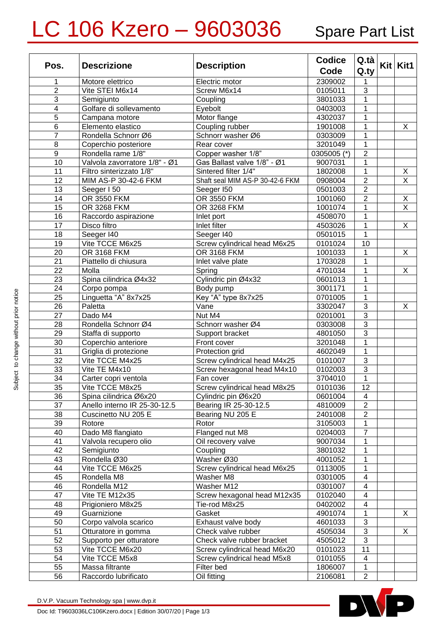## LC 106 Kzero - 9603036 Spare Part List

| Pos.            | <b>Descrizione</b>               | <b>Description</b>                        | <b>Codice</b>      | Q.ta                           | $Kit$ Kit1              |
|-----------------|----------------------------------|-------------------------------------------|--------------------|--------------------------------|-------------------------|
|                 |                                  |                                           | Code               | $Q_{\rm r}$                    |                         |
| 1               | Motore elettrico                 | Electric motor                            | 2309002            | 1                              |                         |
| $\overline{2}$  | Vite STEI M6x14                  | Screw M6x14                               | 0105011            | $\mathbf{3}$                   |                         |
| 3               | Semigiunto                       | Coupling                                  | 3801033            | 1                              |                         |
| 4               | Golfare di sollevamento          | Eyebolt                                   | 0403003            | 1                              |                         |
| 5               | Campana motore                   | Motor flange                              | 4302037            | 1                              |                         |
| $6\phantom{1}6$ | Elemento elastico                | Coupling rubber                           | 1901008            | 1                              | X                       |
| 7               | Rondella Schnorr Ø6              | Schnorr washer Ø6                         | 0303009            | 1                              |                         |
| 8               | Coperchio posteriore             | Rear cover                                | 3201049            | 1                              |                         |
| 9               | Rondella rame 1/8"               | Copper washer 1/8"                        | 0305005 (*)        | $\overline{2}$                 |                         |
| 10              | Valvola zavorratore 1/8" - Ø1    | Gas Ballast valve 1/8" - Ø1               | 9007031            | $\mathbf{1}$                   |                         |
| 11              | Filtro sinterizzato 1/8"         | Sintered filter 1/4"                      | 1802008            | $\mathbf{1}$                   | Χ                       |
| 12              | MIM AS-P 30-42-6 FKM             | Shaft seal MIM AS-P 30-42-6 FKM           | 0908004            | $\overline{2}$                 | $\overline{\mathsf{x}}$ |
| 13              | Seeger I 50                      | Seeger I50                                | 0501003            | $\overline{2}$                 |                         |
| 14              | OR 3550 FKM                      | OR 3550 FKM                               | 1001060            | $\overline{2}$                 | Χ                       |
| 15              | OR 3268 FKM                      | OR 3268 FKM                               | 1001074            | 1                              | $\overline{\mathsf{x}}$ |
| 16              | Raccordo aspirazione             | Inlet port                                | 4508070            | 1                              |                         |
| 17              | Disco filtro                     | Inlet filter                              | 4503026            | $\mathbf{1}$                   | X                       |
| 18              | Seeger I40                       | Seeger I40                                | 0501015            | $\mathbf{1}$                   |                         |
| 19              | Vite TCCE M6x25                  | Screw cylindrical head M6x25              | 0101024            | 10                             |                         |
| 20              | <b>OR 3168 FKM</b>               | <b>OR 3168 FKM</b>                        | 1001033            | 1                              | X                       |
| 21              | Piattello di chiusura            | Inlet valve plate                         | 1703028            | 1                              |                         |
| 22              | Molla                            | Spring                                    | 4701034            | 1                              | X                       |
| 23              | Spina cilindrica Ø4x32           | Cylindric pin Ø4x32                       | 0601013            | 1                              |                         |
| 24              | Corpo pompa                      | Body pump                                 | 3001171            | 1                              |                         |
| 25              | Linguetta "A" 8x7x25             | Key "A" type 8x7x25                       | 0701005            | $\mathbf{1}$                   |                         |
| 26              | Paletta                          | Vane                                      | 3302047            | $\sqrt{3}$                     | Χ                       |
| 27              | Dado M4                          | Nut M4                                    | 0201001            | $\overline{3}$                 |                         |
| 28              | Rondella Schnorr Ø4              | Schnorr washer Ø4                         | 0303008            | $\mathbf{3}$                   |                         |
| 29              | Staffa di supporto               | Support bracket                           | 4801050            | $\overline{3}$                 |                         |
| 30              | Coperchio anteriore              | Front cover                               | 3201048            | $\mathbf{1}$                   |                         |
| $\overline{31}$ | Griglia di protezione            | Protection grid                           | 4602049            | $\mathbf{1}$                   |                         |
| $\overline{32}$ | Vite TCCE M4x25                  | Screw cylindrical head M4x25              | 0101007            | $\overline{3}$                 |                         |
| 33              | Vite TE M4x10                    | Screw hexagonal head M4x10                | 0102003            | $\overline{3}$                 |                         |
| $\overline{34}$ | Carter copri ventola             | Fan cover                                 | 3704010            | $\mathbf{1}$                   |                         |
| $\overline{35}$ | Vite TCCE M8x25                  | Screw cylindrical head M8x25              | 0101036            | $\overline{12}$                |                         |
| 36              | Spina cilindrica Ø6x20           | Cylindric pin Ø6x20                       | 0601004            | $\overline{4}$                 |                         |
| 37              | Anello interno IR 25-30-12.5     | Bearing IR 25-30-12.5                     | 4810009            | $\overline{2}$                 |                         |
| 38              | Cuscinetto NU 205 E              | Bearing NU 205 E<br>Rotor                 | 2401008            | $\overline{2}$                 |                         |
| 39              | Rotore<br>Dado M8 flangiato      | Flanged nut M8                            | 3105003            | $\mathbf{1}$<br>$\overline{7}$ |                         |
| 40<br>41        | Valvola recupero olio            | Oil recovery valve                        | 0204003<br>9007034 | 1                              |                         |
| 42              |                                  | Coupling                                  | 3801032            | $\mathbf{1}$                   |                         |
| 43              | Semigiunto<br>Rondella Ø30       | Washer Ø30                                | 4001052            | $\mathbf{1}$                   |                         |
| 44              | Vite TCCE M6x25                  | Screw cylindrical head M6x25              | 0113005            | $\mathbf{1}$                   |                         |
| 45              | Rondella M8                      | Washer M8                                 | 0301005            | $\overline{\mathbf{4}}$        |                         |
| 46              | Rondella M12                     | Washer M12                                | 0301007            | $\overline{\mathbf{4}}$        |                         |
| 47              | Vite TE M12x35                   | Screw hexagonal head M12x35               | 0102040            | $\overline{4}$                 |                         |
|                 |                                  | Tie-rod M8x25                             | 0402002            | $\overline{4}$                 |                         |
| 48<br>49        | Prigioniero M8x25<br>Guarnizione | Gasket                                    | 4901074            | $\mathbf{1}$                   | X                       |
| 50              | Corpo valvola scarico            |                                           |                    | $\mathbf{3}$                   |                         |
| 51              | Otturatore in gomma              | Exhaust valve body<br>Check valve rubber  | 4601033            | $\mathbf{3}$                   | X                       |
| 52              | Supporto per otturatore          | Check valve rubber bracket                | 4505034<br>4505012 | $\sqrt{3}$                     |                         |
| 53              | Vite TCCE M6x20                  | Screw cylindrical head M6x20              | 0101023            | 11                             |                         |
| 54              | Vite TCCE M5x8                   |                                           |                    | $\overline{4}$                 |                         |
| 55              | Massa filtrante                  | Screw cylindrical head M5x8<br>Filter bed | 0101055<br>1806007 | $\mathbf{1}$                   |                         |
| 56              | Raccordo lubrificato             | Oil fitting                               | 2106081            | $\overline{2}$                 |                         |
|                 |                                  |                                           |                    |                                |                         |

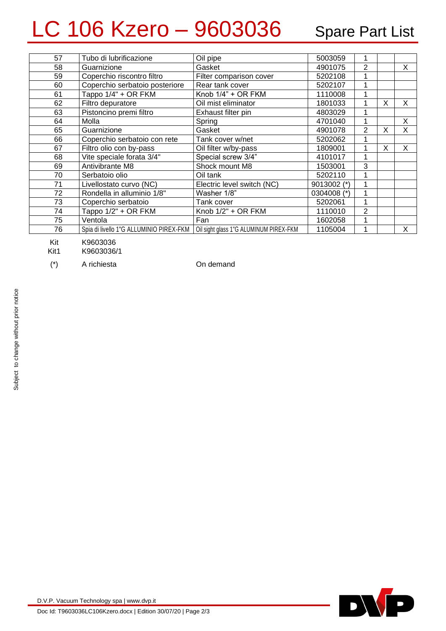## LC 106 Kzero - 9603036 Spare Part List

| 57 | Tubo di lubrificazione                  | Oil pipe                               | 5003059     |   |   |   |
|----|-----------------------------------------|----------------------------------------|-------------|---|---|---|
| 58 | Guarnizione                             | Gasket                                 | 4901075     | 2 |   | X |
| 59 | Coperchio riscontro filtro              | Filter comparison cover                | 5202108     |   |   |   |
| 60 | Coperchio serbatoio posteriore          | Rear tank cover                        | 5202107     |   |   |   |
| 61 | Tappo 1/4" + OR FKM                     | Knob 1/4" + OR FKM                     | 1110008     |   |   |   |
| 62 | Filtro depuratore                       | Oil mist eliminator                    | 1801033     |   | X | X |
| 63 | Pistoncino premi filtro                 | Exhaust filter pin                     | 4803029     |   |   |   |
| 64 | Molla                                   | Spring                                 | 4701040     |   |   | X |
| 65 | Guarnizione                             | Gasket                                 | 4901078     | 2 | X | X |
| 66 | Coperchio serbatoio con rete            | Tank cover w/net                       | 5202062     |   |   |   |
| 67 | Filtro olio con by-pass                 | Oil filter w/by-pass                   | 1809001     |   | X | X |
| 68 | Vite speciale forata 3/4"               | Special screw 3/4"                     | 4101017     |   |   |   |
| 69 | Antivibrante M8                         | Shock mount M8                         | 1503001     | 3 |   |   |
| 70 | Serbatoio olio                          | Oil tank                               | 5202110     |   |   |   |
| 71 | Livellostato curvo (NC)                 | Electric level switch (NC)             | 9013002 (*) |   |   |   |
| 72 | Rondella in alluminio 1/8"              | Washer 1/8"                            | 0304008 (*) |   |   |   |
| 73 | Coperchio serbatoio                     | Tank cover                             | 5202061     | 1 |   |   |
| 74 | Tappo 1/2" + OR FKM                     | Knob 1/2" + OR FKM                     | 1110010     | 2 |   |   |
| 75 | Ventola                                 | Fan                                    | 1602058     |   |   |   |
| 76 | Spia di livello 1"G ALLUMINIO PIREX-FKM | Oil sight glass 1"G ALUMINUM PIREX-FKM | 1105004     |   |   | X |
|    |                                         |                                        |             |   |   |   |

Kit K9603036

Kit1 K9603036/1

(\*) A richiesta On demand